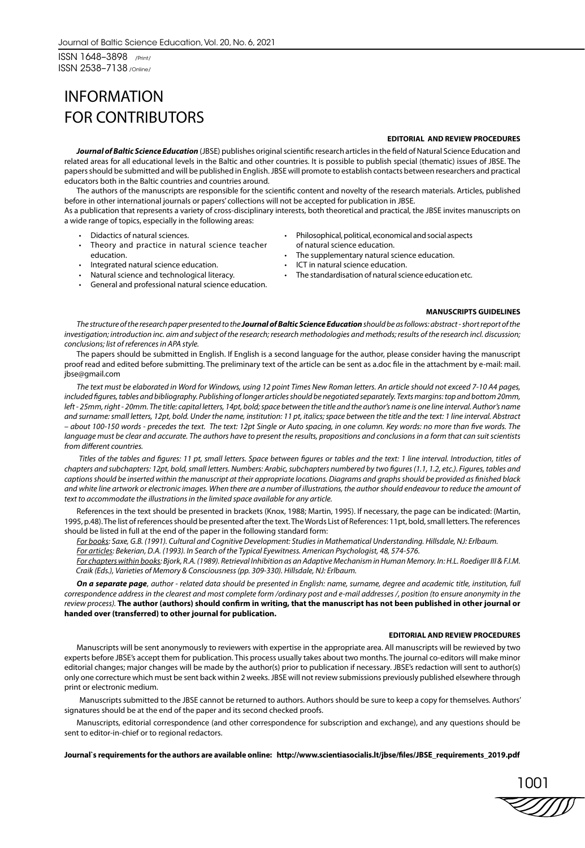ISSN 1648–3898 /Print/ ISSN 2538–7138 /Online/

# INFORMATION FOR CONTRIBUTORS

### **EDITORIAL AND REVIEW PROCEDURES**

*Journal of Baltic Science Education* (JBSE) publishes original scientific research articles in the field of Natural Science Education and related areas for all educational levels in the Baltic and other countries. It is possible to publish special (thematic) issues of JBSE. The papers should be submitted and will be published in English. JBSE will promote to establish contacts between researchers and practical educators both in the Baltic countries and countries around.

The authors of the manuscripts are responsible for the scientific content and novelty of the research materials. Articles, published before in other international journals or papers' collections will not be accepted for publication in JBSE.

As a publication that represents a variety of cross-disciplinary interests, both theoretical and practical, the JBSE invites manuscripts on a wide range of topics, especially in the following areas:

- Didactics of natural sciences.
- Theory and practice in natural science teacher education.
- Integrated natural science education.
- Natural science and technological literacy.
- General and professional natural science education.
- Philosophical, political, economical and social aspects
- of natural science education. The supplementary natural science education.
- ICT in natural science education.
- 
- The standardisation of natural science education etc.

#### **MANUSCRIPTS GUIDELINES**

*The structure of the research paper presented to the Journal of Baltic Science Education should be as follows: abstract - short report of the investigation; introduction inc. aim and subject of the research; research methodologies and methods; results of the research incl. discussion; conclusions; list of references in APA style.* 

The papers should be submitted in English. If English is a second language for the author, please consider having the manuscript proof read and edited before submitting. The preliminary text of the article can be sent as a.doc file in the attachment by e-mail: mail. jbse@gmail.com

*The text must be elaborated in Word for Windows, using 12 point Times New Roman letters. An article should not exceed 7-10 A4 pages, included figures, tables and bibliography. Publishing of longer articles should be negotiated separately. Texts margins: top and bottom 20mm,*  left - 25mm, right - 20mm. The title: capital letters, 14pt, bold; space between the title and the author's name is one line interval. Author's name *and surname: small letters, 12pt, bold. Under the name, institution: 11 pt, italics; space between the title and the text: 1 line interval. Abstract – about 100-150 words - precedes the text. The text: 12pt Single or Auto spacing, in one column. Key words: no more than five words. The language must be clear and accurate. The authors have to present the results, propositions and conclusions in a form that can suit scientists from different countries.* 

 *Titles of the tables and figures: 11 pt, small letters. Space between figures or tables and the text: 1 line interval. Introduction, titles of chapters and subchapters: 12pt, bold, small letters. Numbers: Arabic, subchapters numbered by two figures (1.1, 1.2, etc.). Figures, tables and captions should be inserted within the manuscript at their appropriate locations. Diagrams and graphs should be provided as finished black and white line artwork or electronic images. When there are a number of illustrations, the author should endeavour to reduce the amount of text to accommodate the illustrations in the limited space available for any article.* 

References in the text should be presented in brackets (Knox, 1988; Martin, 1995). If necessary, the page can be indicated: (Martin, 1995, p.48). The list of references should be presented after the text. The Words List of References: 11pt, bold, small letters. The references should be listed in full at the end of the paper in the following standard form:

*For books: Saxe, G.B. (1991). Cultural and Cognitive Development: Studies in Mathematical Understanding. Hillsdale, NJ: Erlbaum.*

*For articles: Bekerian, D.A. (1993). In Search of the Typical Eyewitness. American Psychologist, 48, 574-576.* 

*For chapters within books: Bjork, R.A. (1989). Retrieval Inhibition as an Adaptive Mechanism in Human Memory. In: H.L. Roediger III & F.I.M. Craik (Eds.), Varieties of Memory & Consciousness (pp. 309-330). Hillsdale, NJ: Erlbaum.* 

*On a separate page*, *author - related data should be presented in English: name, surname, degree and academic title, institution, full correspondence address in the clearest and most complete form /ordinary post and e-mail addresses /, position (to ensure anonymity in the review process).* **The author (authors) should confirm in writing, that the manuscript has not been published in other journal or handed over (transferred) to other journal for publication.**

#### **EDITORIAL AND REVIEW PROCEDURES**

Manuscripts will be sent anonymously to reviewers with expertise in the appropriate area. All manuscripts will be rewieved by two experts before JBSE's accept them for publication. This process usually takes about two months. The journal co-editors will make minor editorial changes; major changes will be made by the author(s) prior to publication if necessary. JBSE's redaction will sent to author(s) only one correcture which must be sent back within 2 weeks. JBSE will not review submissions previously published elsewhere through print or electronic medium.

 Manuscripts submitted to the JBSE cannot be returned to authors. Authors should be sure to keep a copy for themselves. Authors' signatures should be at the end of the paper and its second checked proofs.

Manuscripts, editorial correspondence (and other correspondence for subscription and exchange), and any questions should be sent to editor-in-chief or to regional redactors.

#### **Journal`s requirements for the authors are available online: http://www.scientiasocialis.lt/jbse/files/JBSE\_requirements\_2019.pdf**

1001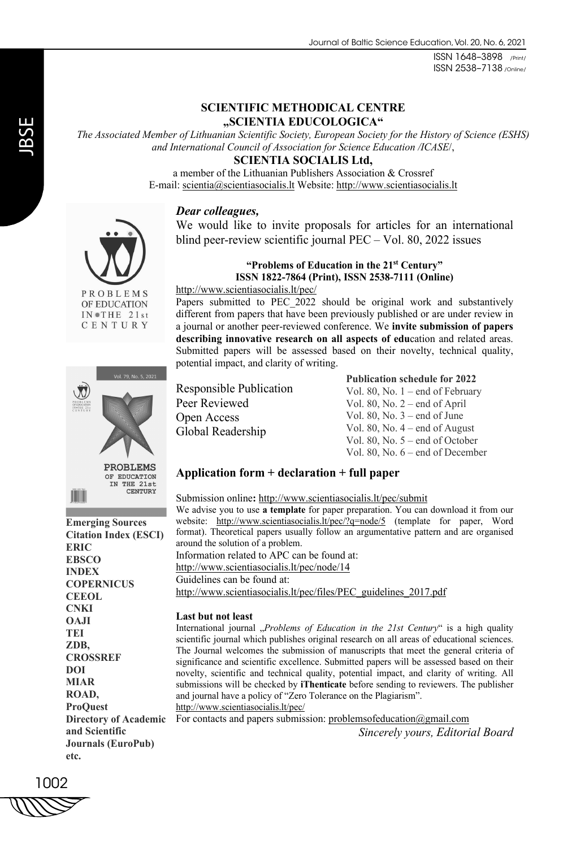ISSN 1648–3898 /Print/ ISSN 2538–7138 /Online/

## **SCIENTIFIC METHODICAL CENTRE "SCIENTIA EDUCOLOGICA"**

*The Associated Member of Lithuanian Scientific Society, European Society for the History of Science (ESHS) and International Council of Association for Science Education /ICASE*/,

**SCIENTIA SOCIALIS Ltd,** 

a member of the Lithuanian Publishers Association & Crossref E-mail: scientia@scientiasocialis.lt Website: http://www.scientiasocialis.lt

### *Dear colleagues,*

We would like to invite proposals for articles for an international blind peer-review scientific journal PEC – Vol. 80, 2022 issues

### **"Problems of Education in the 21st Century" ISSN 1822-7864 (Print), ISSN 2538-7111 (Online)**

Papers submitted to PEC 2022 should be original work and substantively different from papers that have been previously published or are under review in a journal or another peer-reviewed conference. We **invite submission of papers describing innovative research on all aspects of edu**cation and related areas. Submitted papers will be assessed based on their novelty, technical quality,

PROBLEMS OF EDUCATION  $IN$   $THE$   $21st$ CENTURY



**Emerging Sources Citation Index (ESCI) ERIC EBSCO INDEX COPERNICUS CEEOL CNKI OAJI TEI ZDB, CROSSREF DOI MIAR ROAD, ProQuest and Scientific Journals (EuroPub) etc.**

Responsible Publication Peer Reviewed Open Access Global Readership

http://www.scientiasocialis.lt/pec/

potential impact, and clarity of writing.

**Publication schedule for 2022**

Vol. 80, No. 1 – end of February Vol. 80, No. 2 – end of April Vol. 80, No. 3 – end of June Vol. 80, No. 4 – end of August Vol. 80, No. 5 – end of October Vol. 80, No. 6 – end of December

## **Application form + declaration + full paper**

Submission online**:** http://www.scientiasocialis.lt/pec/submit We advise you to use **a template** for paper preparation. You can download it from our website: http://www.scientiasocialis.lt/pec/?q=node/5 (template for paper, Word format). Theoretical papers usually follow an argumentative pattern and are organised around the solution of a problem. Information related to APC can be found at: http://www.scientiasocialis.lt/pec/node/14 Guidelines can be found at: http://www.scientiasocialis.lt/pec/files/PEC\_guidelines\_2017.pdf

### **Last but not least**

International journal "*Problems of Education in the 21st Century*" is a high quality scientific journal which publishes original research on all areas of educational sciences. The Journal welcomes the submission of manuscripts that meet the general criteria of significance and scientific excellence. Submitted papers will be assessed based on their novelty, scientific and technical quality, potential impact, and clarity of writing. All submissions will be checked by **iThenticate** before sending to reviewers. The publisher and journal have a policy of "Zero Tolerance on the Plagiarism". http://www.scientiasocialis.lt/pec/

Directory of Academic For contacts and papers submission: problemsofeducation@gmail.com *Sincerely yours, Editorial Board*

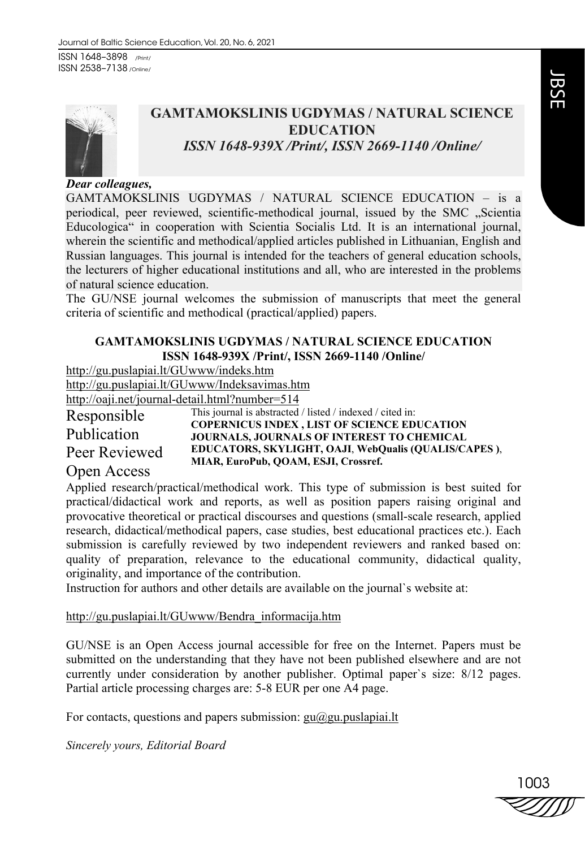ISSN 1648–3898 /Print/ ISSN 2538–7138 /Online/



# **GAMTAMOKSLINIS UGDYMAS / NATURAL SCIENCE EDUCATION**  *ISSN 1648-939X /Print/, ISSN 2669-1140 /Online/*

## *Dear colleagues,*

GAMTAMOKSLINIS UGDYMAS / NATURAL SCIENCE EDUCATION – is a periodical, peer reviewed, scientific-methodical journal, issued by the SMC "Scientia Educologica" in cooperation with Scientia Socialis Ltd. It is an international journal, wherein the scientific and methodical/applied articles published in Lithuanian, English and Russian languages. This journal is intended for the teachers of general education schools, the lecturers of higher educational institutions and all, who are interested in the problems of natural science education.

The GU/NSE journal welcomes the submission of manuscripts that meet the general criteria of scientific and methodical (practical/applied) papers.

# **GAMTAMOKSLINIS UGDYMAS / NATURAL SCIENCE EDUCATION ISSN 1648-939X /Print/, ISSN 2669-1140 /Online/**

http://gu.puslapiai.lt/GUwww/indeks.htm

http://gu.puslapiai.lt/GUwww/Indeksavimas.htm

http://oaji.net/journal-detail.html?number=514

Responsible Publication Peer Reviewed This journal is abstracted / listed / indexed / cited in: **COPERNICUS INDEX , LIST OF SCIENCE EDUCATION JOURNALS, JOURNALS OF INTEREST TO CHEMICAL EDUCATORS, SKYLIGHT, OAJI**, **WebQualis (QUALIS/CAPES )**, **MIAR, EuroPub, QOAM, ESJI, Crossref.** 

# Open Access

Applied research/practical/methodical work. This type of submission is best suited for practical/didactical work and reports, as well as position papers raising original and provocative theoretical or practical discourses and questions (small-scale research, applied research, didactical/methodical papers, case studies, best educational practices etc.). Each submission is carefully reviewed by two independent reviewers and ranked based on: quality of preparation, relevance to the educational community, didactical quality, originality, and importance of the contribution.

Instruction for authors and other details are available on the journal`s website at:

http://gu.puslapiai.lt/GUwww/Bendra\_informacija.htm

GU/NSE is an Open Access journal accessible for free on the Internet. Papers must be submitted on the understanding that they have not been published elsewhere and are not currently under consideration by another publisher. Optimal paper`s size: 8/12 pages. Partial article processing charges are: 5-8 EUR per one A4 page.

For contacts, questions and papers submission:  $gu@gu.pus$ lapiai.lt

*Sincerely yours, Editorial Board*